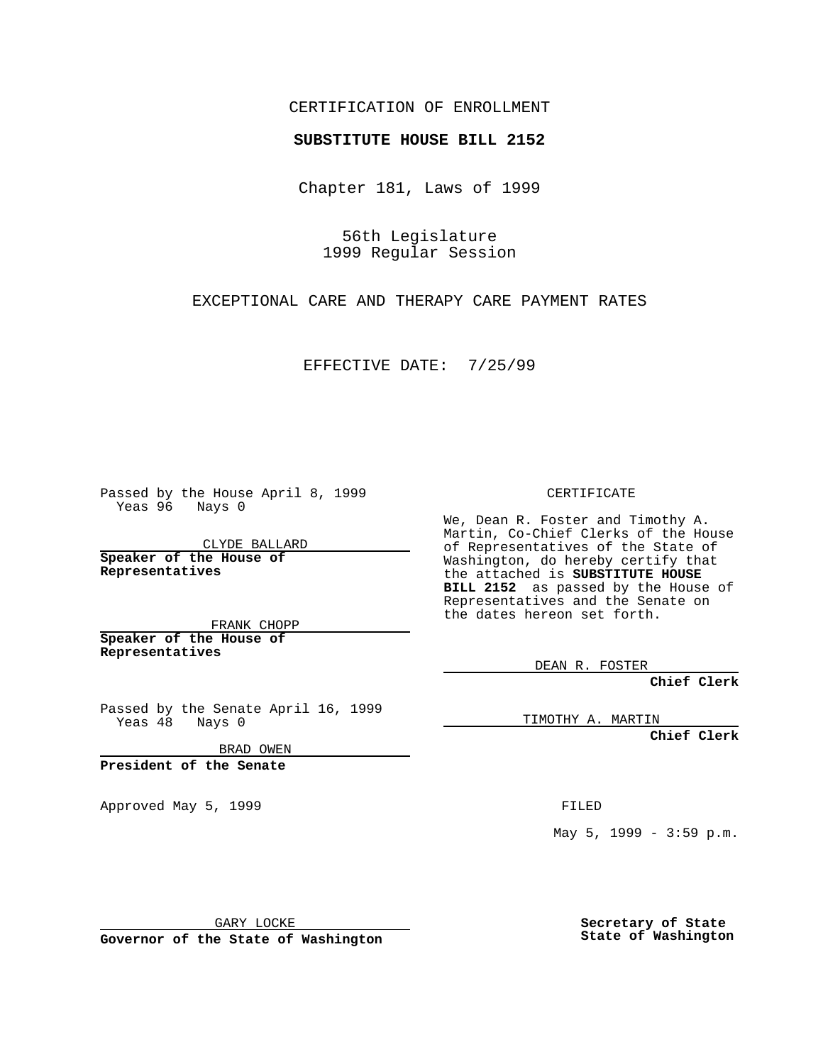## CERTIFICATION OF ENROLLMENT

## **SUBSTITUTE HOUSE BILL 2152**

Chapter 181, Laws of 1999

56th Legislature 1999 Regular Session

EXCEPTIONAL CARE AND THERAPY CARE PAYMENT RATES

EFFECTIVE DATE: 7/25/99

Passed by the House April 8, 1999 Yeas 96 Nays 0

CLYDE BALLARD **Speaker of the House of Representatives**

FRANK CHOPP **Speaker of the House of Representatives**

Passed by the Senate April 16, 1999 Yeas 48 Nays 0

BRAD OWEN

**President of the Senate**

Approved May 5, 1999 **FILED** 

CERTIFICATE

We, Dean R. Foster and Timothy A. Martin, Co-Chief Clerks of the House of Representatives of the State of Washington, do hereby certify that the attached is **SUBSTITUTE HOUSE BILL 2152** as passed by the House of Representatives and the Senate on the dates hereon set forth.

DEAN R. FOSTER

**Chief Clerk**

TIMOTHY A. MARTIN

**Chief Clerk**

May 5, 1999 - 3:59 p.m.

GARY LOCKE

**Governor of the State of Washington**

**Secretary of State State of Washington**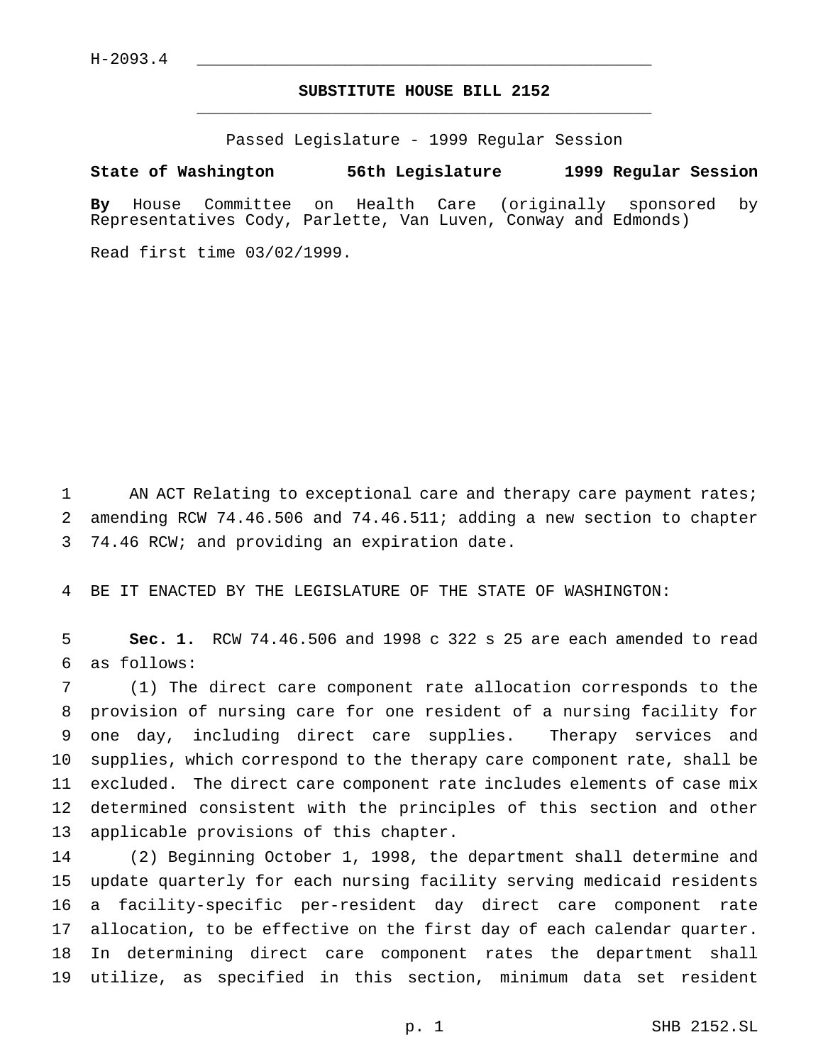## **SUBSTITUTE HOUSE BILL 2152** \_\_\_\_\_\_\_\_\_\_\_\_\_\_\_\_\_\_\_\_\_\_\_\_\_\_\_\_\_\_\_\_\_\_\_\_\_\_\_\_\_\_\_\_\_\_\_

Passed Legislature - 1999 Regular Session

**State of Washington 56th Legislature 1999 Regular Session**

**By** House Committee on Health Care (originally sponsored by Representatives Cody, Parlette, Van Luven, Conway and Edmonds)

Read first time 03/02/1999.

1 AN ACT Relating to exceptional care and therapy care payment rates; amending RCW 74.46.506 and 74.46.511; adding a new section to chapter 74.46 RCW; and providing an expiration date.

BE IT ENACTED BY THE LEGISLATURE OF THE STATE OF WASHINGTON:

 **Sec. 1.** RCW 74.46.506 and 1998 c 322 s 25 are each amended to read as follows:

 (1) The direct care component rate allocation corresponds to the provision of nursing care for one resident of a nursing facility for one day, including direct care supplies. Therapy services and supplies, which correspond to the therapy care component rate, shall be excluded. The direct care component rate includes elements of case mix determined consistent with the principles of this section and other applicable provisions of this chapter.

 (2) Beginning October 1, 1998, the department shall determine and update quarterly for each nursing facility serving medicaid residents a facility-specific per-resident day direct care component rate allocation, to be effective on the first day of each calendar quarter. In determining direct care component rates the department shall utilize, as specified in this section, minimum data set resident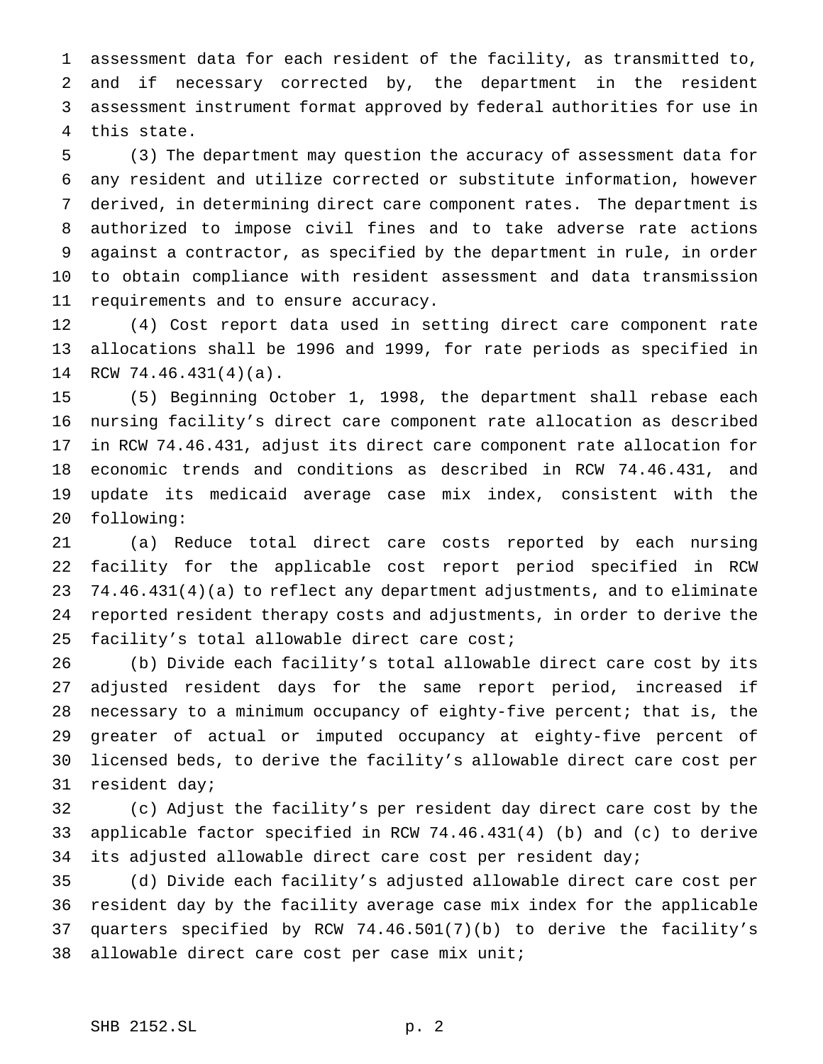assessment data for each resident of the facility, as transmitted to, and if necessary corrected by, the department in the resident assessment instrument format approved by federal authorities for use in this state.

 (3) The department may question the accuracy of assessment data for any resident and utilize corrected or substitute information, however derived, in determining direct care component rates. The department is authorized to impose civil fines and to take adverse rate actions against a contractor, as specified by the department in rule, in order to obtain compliance with resident assessment and data transmission requirements and to ensure accuracy.

 (4) Cost report data used in setting direct care component rate allocations shall be 1996 and 1999, for rate periods as specified in RCW 74.46.431(4)(a).

 (5) Beginning October 1, 1998, the department shall rebase each nursing facility's direct care component rate allocation as described in RCW 74.46.431, adjust its direct care component rate allocation for economic trends and conditions as described in RCW 74.46.431, and update its medicaid average case mix index, consistent with the following:

 (a) Reduce total direct care costs reported by each nursing facility for the applicable cost report period specified in RCW 74.46.431(4)(a) to reflect any department adjustments, and to eliminate reported resident therapy costs and adjustments, in order to derive the facility's total allowable direct care cost;

 (b) Divide each facility's total allowable direct care cost by its adjusted resident days for the same report period, increased if necessary to a minimum occupancy of eighty-five percent; that is, the greater of actual or imputed occupancy at eighty-five percent of licensed beds, to derive the facility's allowable direct care cost per resident day;

 (c) Adjust the facility's per resident day direct care cost by the applicable factor specified in RCW 74.46.431(4) (b) and (c) to derive its adjusted allowable direct care cost per resident day;

 (d) Divide each facility's adjusted allowable direct care cost per resident day by the facility average case mix index for the applicable quarters specified by RCW 74.46.501(7)(b) to derive the facility's allowable direct care cost per case mix unit;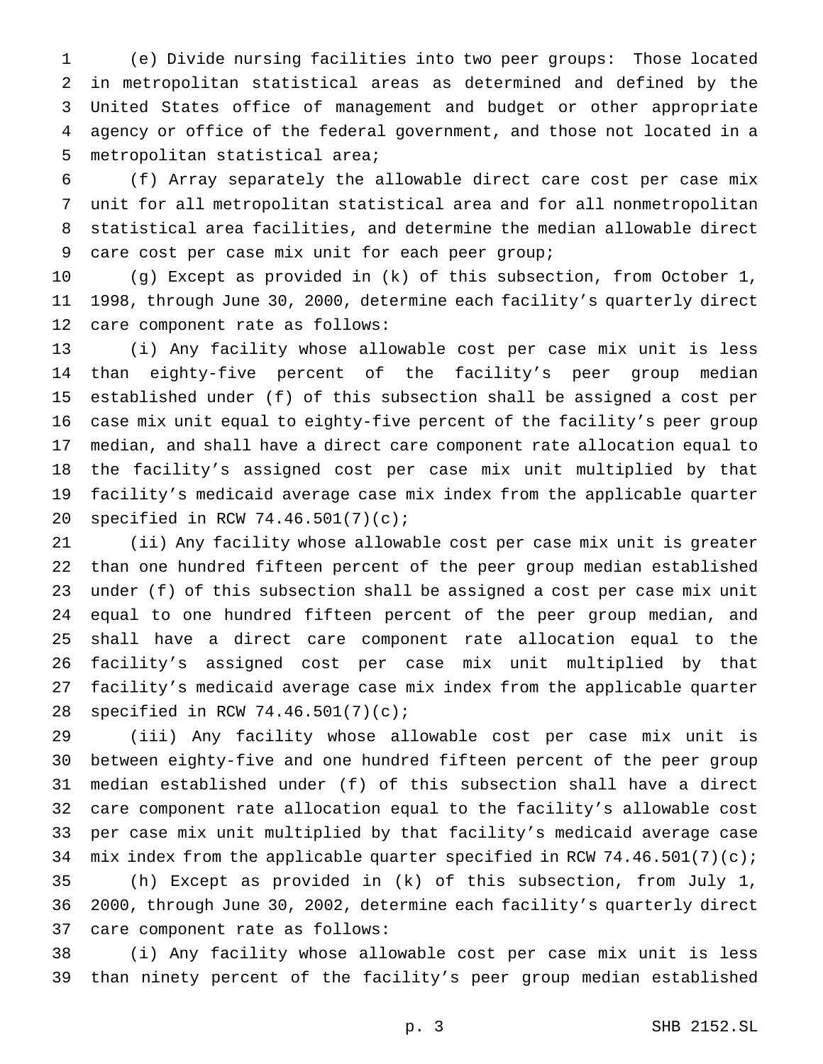(e) Divide nursing facilities into two peer groups: Those located in metropolitan statistical areas as determined and defined by the United States office of management and budget or other appropriate agency or office of the federal government, and those not located in a metropolitan statistical area;

 (f) Array separately the allowable direct care cost per case mix unit for all metropolitan statistical area and for all nonmetropolitan statistical area facilities, and determine the median allowable direct care cost per case mix unit for each peer group;

 (g) Except as provided in (k) of this subsection, from October 1, 1998, through June 30, 2000, determine each facility's quarterly direct care component rate as follows:

 (i) Any facility whose allowable cost per case mix unit is less than eighty-five percent of the facility's peer group median established under (f) of this subsection shall be assigned a cost per case mix unit equal to eighty-five percent of the facility's peer group median, and shall have a direct care component rate allocation equal to the facility's assigned cost per case mix unit multiplied by that facility's medicaid average case mix index from the applicable quarter specified in RCW 74.46.501(7)(c);

 (ii) Any facility whose allowable cost per case mix unit is greater than one hundred fifteen percent of the peer group median established under (f) of this subsection shall be assigned a cost per case mix unit equal to one hundred fifteen percent of the peer group median, and shall have a direct care component rate allocation equal to the facility's assigned cost per case mix unit multiplied by that facility's medicaid average case mix index from the applicable quarter specified in RCW 74.46.501(7)(c);

 (iii) Any facility whose allowable cost per case mix unit is between eighty-five and one hundred fifteen percent of the peer group median established under (f) of this subsection shall have a direct care component rate allocation equal to the facility's allowable cost per case mix unit multiplied by that facility's medicaid average case 34 mix index from the applicable quarter specified in RCW 74.46.501(7)(c); (h) Except as provided in (k) of this subsection, from July 1, 2000, through June 30, 2002, determine each facility's quarterly direct care component rate as follows:

 (i) Any facility whose allowable cost per case mix unit is less than ninety percent of the facility's peer group median established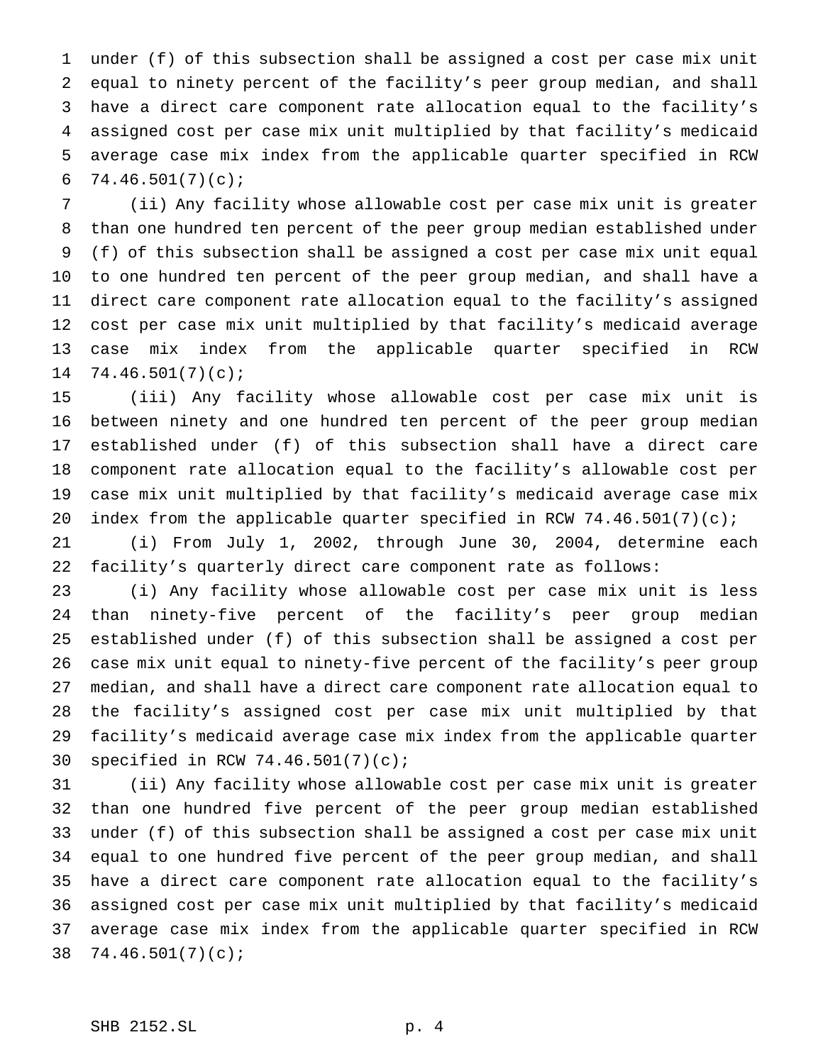under (f) of this subsection shall be assigned a cost per case mix unit equal to ninety percent of the facility's peer group median, and shall have a direct care component rate allocation equal to the facility's assigned cost per case mix unit multiplied by that facility's medicaid average case mix index from the applicable quarter specified in RCW  $74.46.501(7)(c)$ ;

 (ii) Any facility whose allowable cost per case mix unit is greater than one hundred ten percent of the peer group median established under (f) of this subsection shall be assigned a cost per case mix unit equal to one hundred ten percent of the peer group median, and shall have a direct care component rate allocation equal to the facility's assigned cost per case mix unit multiplied by that facility's medicaid average case mix index from the applicable quarter specified in RCW 74.46.501(7)(c);

 (iii) Any facility whose allowable cost per case mix unit is between ninety and one hundred ten percent of the peer group median established under (f) of this subsection shall have a direct care component rate allocation equal to the facility's allowable cost per case mix unit multiplied by that facility's medicaid average case mix index from the applicable quarter specified in RCW 74.46.501(7)(c);

 (i) From July 1, 2002, through June 30, 2004, determine each facility's quarterly direct care component rate as follows:

 (i) Any facility whose allowable cost per case mix unit is less than ninety-five percent of the facility's peer group median established under (f) of this subsection shall be assigned a cost per case mix unit equal to ninety-five percent of the facility's peer group median, and shall have a direct care component rate allocation equal to the facility's assigned cost per case mix unit multiplied by that facility's medicaid average case mix index from the applicable quarter specified in RCW 74.46.501(7)(c);

 (ii) Any facility whose allowable cost per case mix unit is greater than one hundred five percent of the peer group median established under (f) of this subsection shall be assigned a cost per case mix unit equal to one hundred five percent of the peer group median, and shall have a direct care component rate allocation equal to the facility's assigned cost per case mix unit multiplied by that facility's medicaid average case mix index from the applicable quarter specified in RCW 74.46.501(7)(c);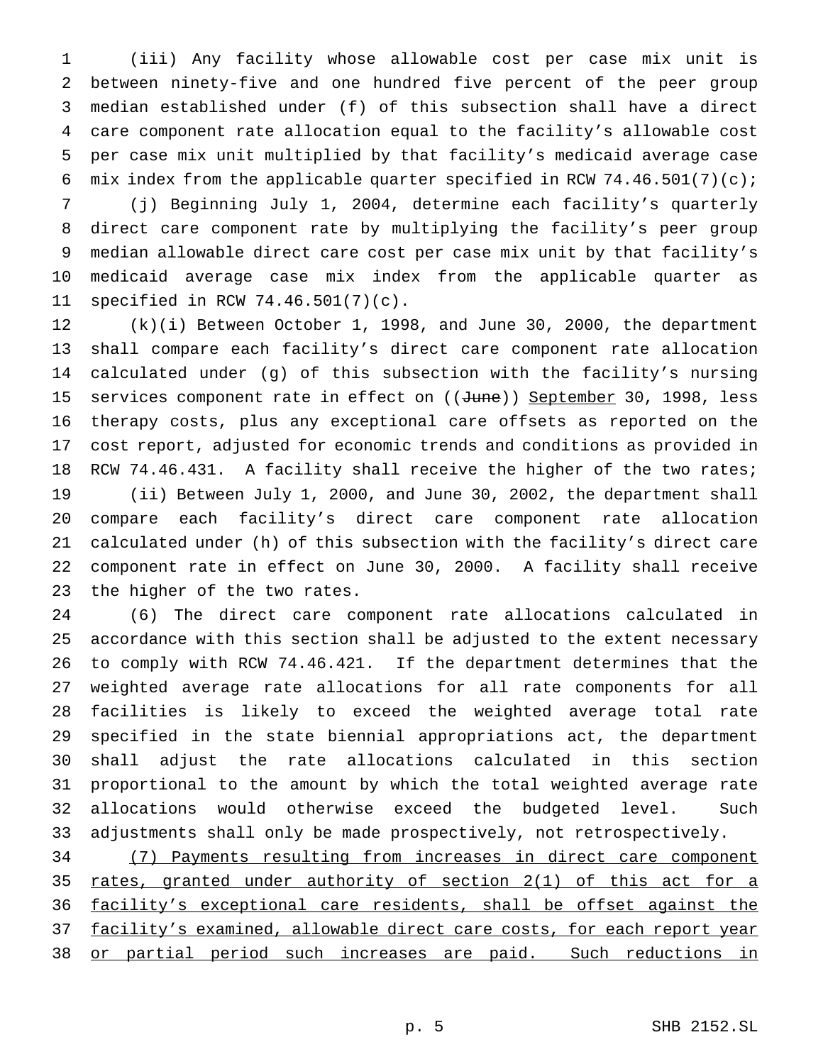(iii) Any facility whose allowable cost per case mix unit is between ninety-five and one hundred five percent of the peer group median established under (f) of this subsection shall have a direct care component rate allocation equal to the facility's allowable cost per case mix unit multiplied by that facility's medicaid average case 6 mix index from the applicable quarter specified in RCW  $74.46.501(7)(c)$ ;

 (j) Beginning July 1, 2004, determine each facility's quarterly direct care component rate by multiplying the facility's peer group median allowable direct care cost per case mix unit by that facility's medicaid average case mix index from the applicable quarter as specified in RCW 74.46.501(7)(c).

 (k)(i) Between October 1, 1998, and June 30, 2000, the department shall compare each facility's direct care component rate allocation calculated under (g) of this subsection with the facility's nursing 15 services component rate in effect on ((June)) September 30, 1998, less therapy costs, plus any exceptional care offsets as reported on the cost report, adjusted for economic trends and conditions as provided in RCW 74.46.431. A facility shall receive the higher of the two rates; (ii) Between July 1, 2000, and June 30, 2002, the department shall compare each facility's direct care component rate allocation calculated under (h) of this subsection with the facility's direct care component rate in effect on June 30, 2000. A facility shall receive the higher of the two rates.

 (6) The direct care component rate allocations calculated in accordance with this section shall be adjusted to the extent necessary to comply with RCW 74.46.421. If the department determines that the weighted average rate allocations for all rate components for all facilities is likely to exceed the weighted average total rate specified in the state biennial appropriations act, the department shall adjust the rate allocations calculated in this section proportional to the amount by which the total weighted average rate allocations would otherwise exceed the budgeted level. Such adjustments shall only be made prospectively, not retrospectively.

 (7) Payments resulting from increases in direct care component rates, granted under authority of section 2(1) of this act for a facility's exceptional care residents, shall be offset against the 37 facility's examined, allowable direct care costs, for each report year or partial period such increases are paid. Such reductions in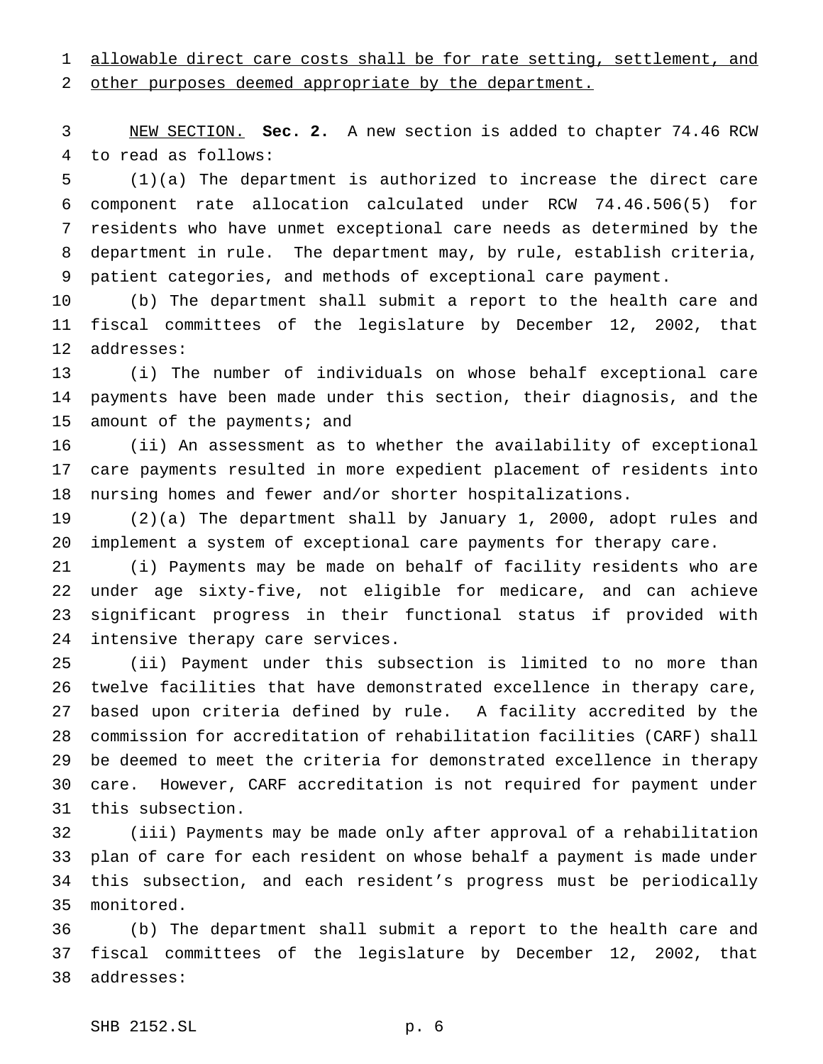allowable direct care costs shall be for rate setting, settlement, and other purposes deemed appropriate by the department.

 NEW SECTION. **Sec. 2.** A new section is added to chapter 74.46 RCW to read as follows:

 (1)(a) The department is authorized to increase the direct care component rate allocation calculated under RCW 74.46.506(5) for residents who have unmet exceptional care needs as determined by the department in rule. The department may, by rule, establish criteria, patient categories, and methods of exceptional care payment.

 (b) The department shall submit a report to the health care and fiscal committees of the legislature by December 12, 2002, that addresses:

 (i) The number of individuals on whose behalf exceptional care payments have been made under this section, their diagnosis, and the amount of the payments; and

 (ii) An assessment as to whether the availability of exceptional care payments resulted in more expedient placement of residents into nursing homes and fewer and/or shorter hospitalizations.

 (2)(a) The department shall by January 1, 2000, adopt rules and implement a system of exceptional care payments for therapy care.

 (i) Payments may be made on behalf of facility residents who are under age sixty-five, not eligible for medicare, and can achieve significant progress in their functional status if provided with intensive therapy care services.

 (ii) Payment under this subsection is limited to no more than twelve facilities that have demonstrated excellence in therapy care, based upon criteria defined by rule. A facility accredited by the commission for accreditation of rehabilitation facilities (CARF) shall be deemed to meet the criteria for demonstrated excellence in therapy care. However, CARF accreditation is not required for payment under this subsection.

 (iii) Payments may be made only after approval of a rehabilitation plan of care for each resident on whose behalf a payment is made under this subsection, and each resident's progress must be periodically monitored.

 (b) The department shall submit a report to the health care and fiscal committees of the legislature by December 12, 2002, that addresses: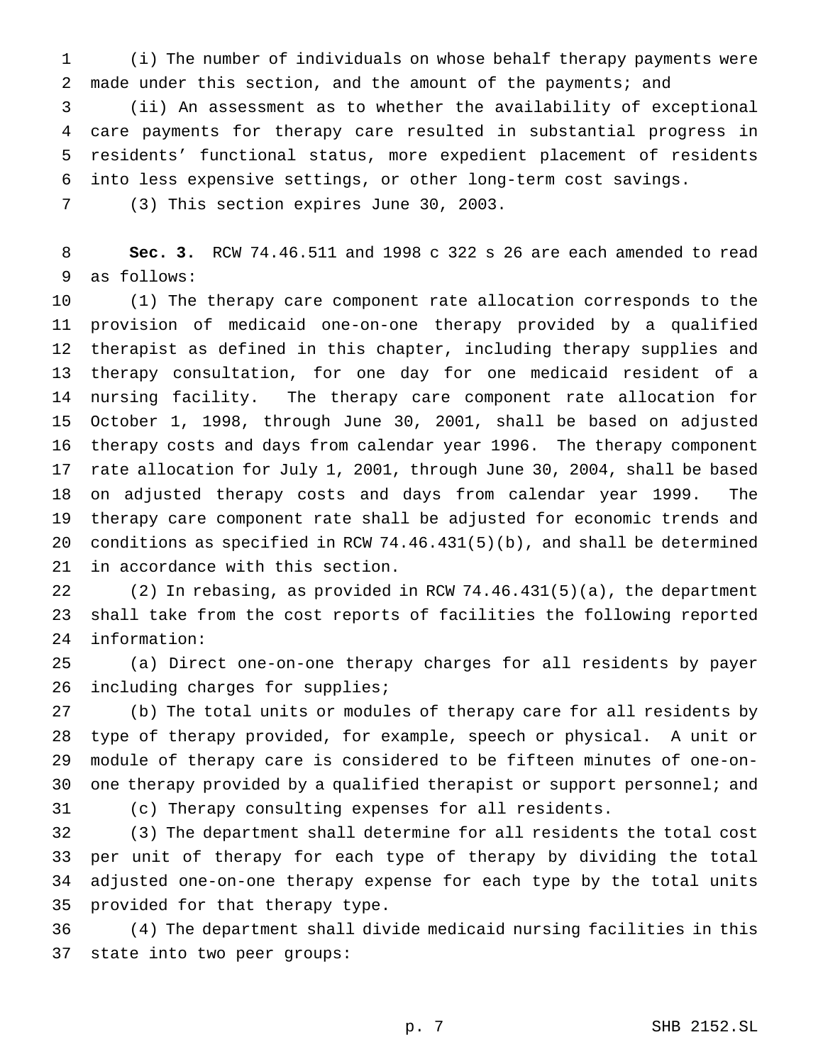(i) The number of individuals on whose behalf therapy payments were 2 made under this section, and the amount of the payments; and

 (ii) An assessment as to whether the availability of exceptional care payments for therapy care resulted in substantial progress in residents' functional status, more expedient placement of residents into less expensive settings, or other long-term cost savings.

(3) This section expires June 30, 2003.

 **Sec. 3.** RCW 74.46.511 and 1998 c 322 s 26 are each amended to read as follows:

 (1) The therapy care component rate allocation corresponds to the provision of medicaid one-on-one therapy provided by a qualified therapist as defined in this chapter, including therapy supplies and therapy consultation, for one day for one medicaid resident of a nursing facility. The therapy care component rate allocation for October 1, 1998, through June 30, 2001, shall be based on adjusted therapy costs and days from calendar year 1996. The therapy component rate allocation for July 1, 2001, through June 30, 2004, shall be based on adjusted therapy costs and days from calendar year 1999. The therapy care component rate shall be adjusted for economic trends and conditions as specified in RCW 74.46.431(5)(b), and shall be determined in accordance with this section.

 (2) In rebasing, as provided in RCW 74.46.431(5)(a), the department shall take from the cost reports of facilities the following reported information:

 (a) Direct one-on-one therapy charges for all residents by payer 26 including charges for supplies;

 (b) The total units or modules of therapy care for all residents by type of therapy provided, for example, speech or physical. A unit or module of therapy care is considered to be fifteen minutes of one-on-30 one therapy provided by a qualified therapist or support personnel; and

(c) Therapy consulting expenses for all residents.

 (3) The department shall determine for all residents the total cost per unit of therapy for each type of therapy by dividing the total adjusted one-on-one therapy expense for each type by the total units provided for that therapy type.

 (4) The department shall divide medicaid nursing facilities in this state into two peer groups: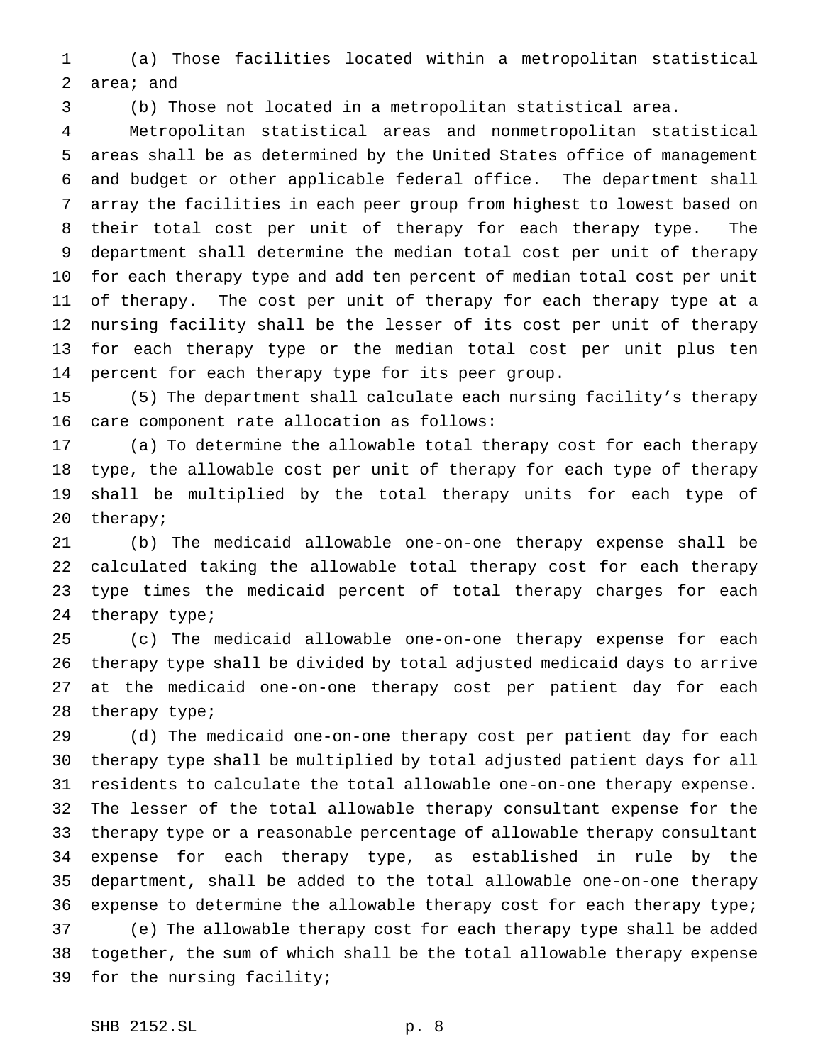(a) Those facilities located within a metropolitan statistical area; and

(b) Those not located in a metropolitan statistical area.

 Metropolitan statistical areas and nonmetropolitan statistical areas shall be as determined by the United States office of management and budget or other applicable federal office. The department shall array the facilities in each peer group from highest to lowest based on their total cost per unit of therapy for each therapy type. The department shall determine the median total cost per unit of therapy for each therapy type and add ten percent of median total cost per unit of therapy. The cost per unit of therapy for each therapy type at a nursing facility shall be the lesser of its cost per unit of therapy for each therapy type or the median total cost per unit plus ten percent for each therapy type for its peer group.

 (5) The department shall calculate each nursing facility's therapy care component rate allocation as follows:

 (a) To determine the allowable total therapy cost for each therapy type, the allowable cost per unit of therapy for each type of therapy shall be multiplied by the total therapy units for each type of therapy;

 (b) The medicaid allowable one-on-one therapy expense shall be calculated taking the allowable total therapy cost for each therapy type times the medicaid percent of total therapy charges for each therapy type;

 (c) The medicaid allowable one-on-one therapy expense for each therapy type shall be divided by total adjusted medicaid days to arrive at the medicaid one-on-one therapy cost per patient day for each therapy type;

 (d) The medicaid one-on-one therapy cost per patient day for each therapy type shall be multiplied by total adjusted patient days for all residents to calculate the total allowable one-on-one therapy expense. The lesser of the total allowable therapy consultant expense for the therapy type or a reasonable percentage of allowable therapy consultant expense for each therapy type, as established in rule by the department, shall be added to the total allowable one-on-one therapy expense to determine the allowable therapy cost for each therapy type; (e) The allowable therapy cost for each therapy type shall be added together, the sum of which shall be the total allowable therapy expense for the nursing facility;